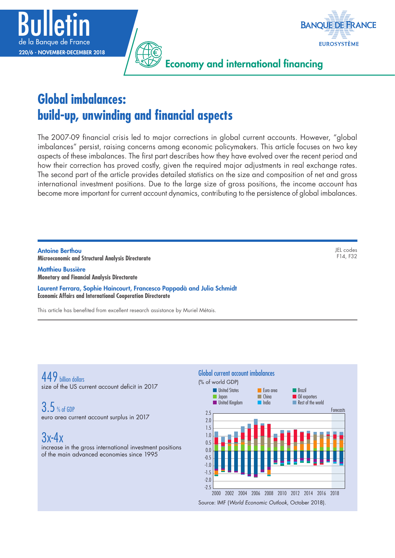



Economy and international financing

# **Global imbalances: build-up, unwinding and financial aspects**

The 2007-09 financial crisis led to major corrections in global current accounts. However, "global imbalances" persist, raising concerns among economic policymakers. This article focuses on two key aspects of these imbalances. The first part describes how they have evolved over the recent period and how their correction has proved costly, given the required major adjustments in real exchange rates. The second part of the article provides detailed statistics on the size and composition of net and gross international investment positions. Due to the large size of gross positions, the income account has become more important for current account dynamics, contributing to the persistence of global imbalances.

Antoine Berthou **Microeconomic and Structural Analysis Directorate**

Matthieu Bussière **Monetary and Financial Analysis Directorate**

Laurent Ferrara, Sophie Haincourt, Francesco Pappadà and Julia Schmidt **Economic Affairs and International Cooperation Directorate**

This article has benefited from excellent research assistance by Muriel Métais.

449 billion dollars size of the US current account deficit in 2017

3.5 % of GDP euro area current account surplus in 2017

3x-4x

increase in the gross international investment positions of the main advanced economies since 1995



JEL codes F14, F32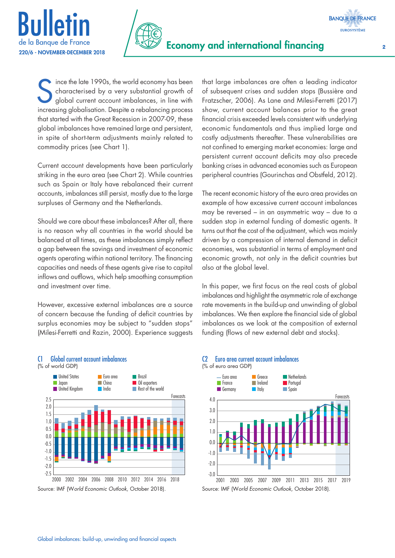



Since the late 1990s, the world economy has been<br>characterised by a very substantial growth of<br>global current account imbalances, in line with<br>increasing algobalisation. Despite a rebalance areases characterised by a very substantial growth of global current account imbalances, in line with increasing globalisation. Despite a rebalancing process that started with the Great Recession in 2007-09, these global imbalances have remained large and persistent, in spite of short-term adjustments mainly related to commodity prices (see Chart 1).

Current account developments have been particularly striking in the euro area (see Chart 2). While countries such as Spain or Italy have rebalanced their current accounts, imbalances still persist, mostly due to the large surpluses of Germany and the Netherlands.

Should we care about these imbalances? After all, there is no reason why all countries in the world should be balanced at all times, as these imbalances simply reflect a gap between the savings and investment of economic agents operating within national territory. The financing capacities and needs of these agents give rise to capital inflows and outflows, which help smoothing consumption and investment over time.

However, excessive external imbalances are a source of concern because the funding of deficit countries by surplus economies may be subject to "sudden stops" (Milesi-Ferretti and Razin, 2000). Experience suggests

C1 Global current account imbalances



that large imbalances are often a leading indicator of subsequent crises and sudden stops (Bussière and Fratzscher, 2006). As Lane and Milesi-Ferretti (2017) show, current account balances prior to the great financial crisis exceeded levels consistent with underlying economic fundamentals and thus implied large and costly adjustments thereafter. These vulnerabilities are not confined to emerging market economies: large and persistent current account deficits may also precede banking crises in advanced economies such as European peripheral countries (Gourinchas and Obstfeld, 2012).

The recent economic history of the euro area provides an example of how excessive current account imbalances may be reversed – in an asymmetric way – due to a sudden stop in external funding of domestic agents. It turns out that the cost of the adjustment, which was mainly driven by a compression of internal demand in deficit economies, was substantial in terms of employment and economic growth, not only in the deficit countries but also at the global level.

In this paper, we first focus on the real costs of global imbalances and highlight the asymmetric role of exchange rate movements in the build-up and unwinding of global imbalances. We then explore the financial side of global imbalances as we look at the composition of external funding (flows of new external debt and stocks).

#### C2 Euro area current account imbalances (% of euro area GDP)



Source: IMF (W*orld Economic Outlook,* October 2018).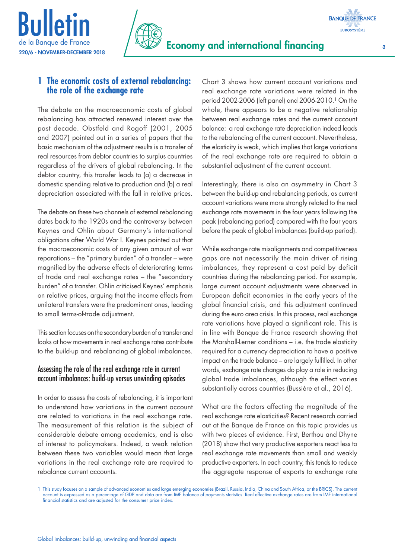



## **1 The economic costs of external rebalancing: the role of the exchange rate**

The debate on the macroeconomic costs of global rebalancing has attracted renewed interest over the past decade. Obstfeld and Rogoff (2001, 2005 and 2007) pointed out in a series of papers that the basic mechanism of the adjustment results is a transfer of real resources from debtor countries to surplus countries regardless of the drivers of global rebalancing. In the debtor country, this transfer leads to (a) a decrease in domestic spending relative to production and (b) a real depreciation associated with the fall in relative prices.

The debate on these two channels of external rebalancing dates back to the 1920s and the controversy between Keynes and Ohlin about Germany's international obligations after World War I. Keynes pointed out that the macroeconomic costs of any given amount of war reparations – the "primary burden" of a transfer – were magnified by the adverse effects of deteriorating terms of trade and real exchange rates – the "secondary burden" of a transfer. Ohlin criticised Keynes' emphasis on relative prices, arguing that the income effects from unilateral transfers were the predominant ones, leading to small terms-of-trade adjustment.

This section focuses on the secondary burden of a transfer and looks at how movements in real exchange rates contribute to the build-up and rebalancing of global imbalances.

## Assessing the role of the real exchange rate in current account imbalances: build-up versus unwinding episodes

In order to assess the costs of rebalancing, it is important to understand how variations in the current account are related to variations in the real exchange rate. The measurement of this relation is the subject of considerable debate among academics, and is also of interest to policymakers. Indeed, a weak relation between these two variables would mean that large variations in the real exchange rate are required to rebalance current accounts.

Chart 3 shows how current account variations and real exchange rate variations were related in the period 2002-2006 (left panel) and 2006-2010.1 On the whole, there appears to be a negative relationship between real exchange rates and the current account balance: a real exchange rate depreciation indeed leads to the rebalancing of the current account. Nevertheless, the elasticity is weak, which implies that large variations of the real exchange rate are required to obtain a substantial adjustment of the current account.

Interestingly, there is also an asymmetry in Chart 3 between the build-up and rebalancing periods, as current account variations were more strongly related to the real exchange rate movements in the four years following the peak (rebalancing period) compared with the four years before the peak of global imbalances (build-up period).

While exchange rate misalignments and competitiveness gaps are not necessarily the main driver of rising imbalances, they represent a cost paid by deficit countries during the rebalancing period. For example, large current account adjustments were observed in European deficit economies in the early years of the global financial crisis, and this adjustment continued during the euro area crisis. In this process, real exchange rate variations have played a significant role. This is in line with Banque de France research showing that the Marshall-Lerner conditions – i.e. the trade elasticity required for a currency depreciation to have a positive impact on the trade balance – are largely fulfilled. In other words, exchange rate changes do play a role in reducing global trade imbalances, although the effect varies substantially across countries (Bussière et al., 2016).

What are the factors affecting the magnitude of the real exchange rate elasticities? Recent research carried out at the Banque de France on this topic provides us with two pieces of evidence. First, Berthou and Dhyne (2018) show that very productive exporters react less to real exchange rate movements than small and weakly productive exporters. In each country, this tends to reduce the aggregate response of exports to exchange rate

**BANQUE DE FRANCE EUROSYSTÈME** 

<sup>1</sup> This study focuses on a sample of advanced economies and large emerging economies (Brazil, Russia, India, China and South Africa, or the BRICS). The current account is expressed as a percentage of GDP and data are from IMF balance of payments statistics. Real effective exchange rates are from IMF international financial statistics and are adjusted for the consumer price index.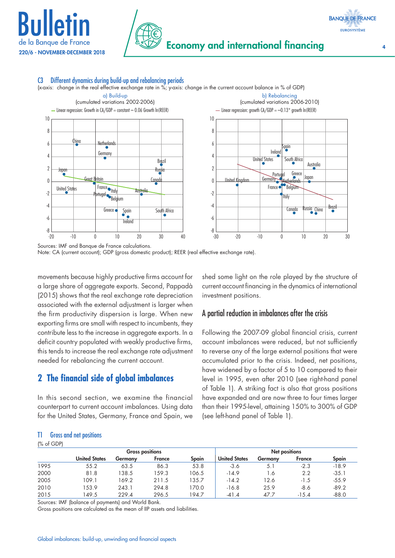



## C3 Different dynamics during build-up and rebalancing periods

(x-axis: change in the real effective exchange rate in %; y-axis: change in the current account balance in % of GDP)



Sources: IMF and Banque de France calculations.

Note: CA (current account); GDP (gross domestic product); REER (real effective exchange rate).

movements because highly productive firms account for a large share of aggregate exports. Second, Pappadà (2015) shows that the real exchange rate depreciation associated with the external adjustment is larger when the firm productivity dispersion is large. When new exporting firms are small with respect to incumbents, they contribute less to the increase in aggregate exports. In a deficit country populated with weakly productive firms, this tends to increase the real exchange rate adjustment needed for rebalancing the current account.

# **2 The financial side of global imbalances**

In this second section, we examine the financial counterpart to current account imbalances. Using data for the United States, Germany, France and Spain, we shed some light on the role played by the structure of current account financing in the dynamics of international investment positions.

#### A partial reduction in imbalances after the crisis

Following the 2007-09 global financial crisis, current account imbalances were reduced, but not sufficiently to reverse any of the large external positions that were accumulated prior to the crisis. Indeed, net positions, have widened by a factor of 5 to 10 compared to their level in 1995, even after 2010 (see right-hand panel of Table 1). A striking fact is also that gross positions have expanded and are now three to four times larger than their 1995-level, attaining 150% to 300% of GDP (see left-hand panel of Table 1).

#### T1 Gross and net positions

(% of GDP)

| ו שטויטיו |                        |         |        |       |                      |         |         |         |
|-----------|------------------------|---------|--------|-------|----------------------|---------|---------|---------|
|           | <b>Gross positions</b> |         |        |       | Net positions        |         |         |         |
|           | <b>United States</b>   | Germanv | France | Spain | <b>United States</b> | Germany | France  | Spain   |
| 1995      | 55.2                   | 63.5    | 86.3   | 53.8  | $-3.6$               | 5.1     | $-2.3$  | $-18.9$ |
| 2000      | 81.8                   | 138.5   | 159.3  | 106.5 | $-14.9$              | l .6    | 2.2     | $-35.1$ |
| 2005      | 109.1                  | 169.2   | 211.5  | 135.7 | $-14.2$              | 12.6    | $-1.5$  | $-55.9$ |
| 2010      | 153.9                  | 243.1   | 294.8  | 170.0 | $-16.8$              | 25.9    | -8.6    | $-89.2$ |
| 2015      | 149.5                  | 229.4   | 296.5  | 194.7 | $-41.4$              | 47.7    | $-15.4$ | $-88.0$ |

Sources: IMF (balance of payments) and World Bank.

Gross positions are calculated as the mean of IIP assets and liabilities.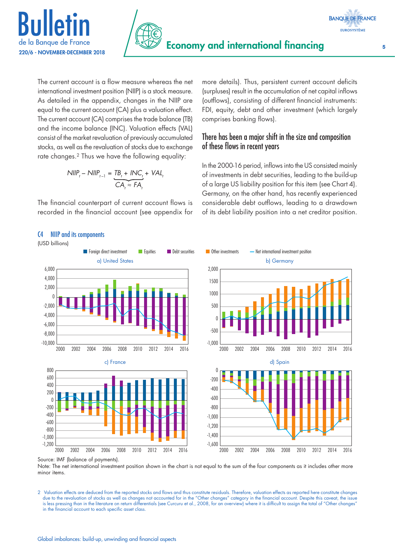





The current account is a flow measure whereas the net international investment position (NIIP) is a stock measure. As detailed in the appendix, changes in the NIIP are equal to the current account (CA) plus a valuation effect. The current account (CA) comprises the trade balance (TB) and the income balance (INC). Valuation effects (VAL) consist of the market revaluation of previously accumulated stocks, as well as the revaluation of stocks due to exchange rate changes.<sup>2</sup> Thus we have the following equality:

$$
NIIP_t - NIIP_{t-1} = \underbrace{TB_t + INC_t}_{CA_t} + VAL_t
$$

The financial counterpart of current account flows is recorded in the financial account (see appendix for

more details). Thus, persistent current account deficits (surpluses) result in the accumulation of net capital inflows (outflows), consisting of different financial instruments: FDI, equity, debt and other investment (which largely comprises banking flows).

## There has been a major shift in the size and composition of these flows in recent years

In the 2000-16 period, inflows into the US consisted mainly of investments in debt securities, leading to the build-up of a large US liability position for this item (see Chart 4). Germany, on the other hand, has recently experienced considerable debt outflows, leading to a drawdown of its debt liability position into a net creditor position.



#### Source: IMF (balance of payments).

Note: The net international investment position shown in the chart is not equal to the sum of the four components as it includes other more minor items.

2 Valuation effects are deduced from the reported stocks and flows and thus constitute residuals. Therefore, valuation effects as reported here constitute changes due to the revaluation of stocks as well as changes not accounted for in the "Other changes" category in the financial account. Despite this caveat, the issue is less pressing than in the literature on return differentials (see Curcuru et al., 2008, for an overview) where it is difficult to assign the total of "Other changes" in the financial account to each specific asset class.

C4 NIIP and its components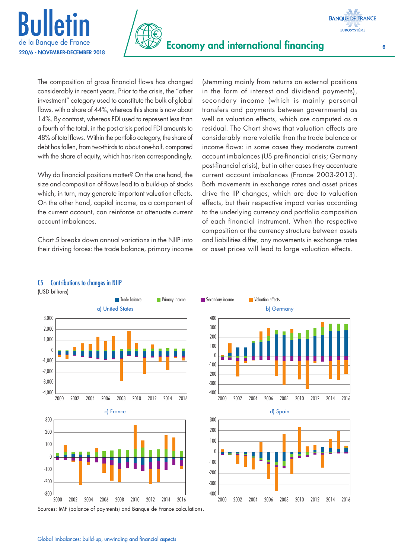



The composition of gross financial flows has changed considerably in recent years. Prior to the crisis, the "other investment" category used to constitute the bulk of global flows, with a share of 44%, whereas this share is now about 14%. By contrast, whereas FDI used to represent less than a fourth of the total, in the post-crisis period FDI amounts to 48% of total flows. Within the portfolio category, the share of debt has fallen, from two-thirds to about one-half, compared with the share of equity, which has risen correspondingly.

Why do financial positions matter? On the one hand, the size and composition of flows lead to a build-up of stocks which, in turn, may generate important valuation effects. On the other hand, capital income, as a component of the current account, can reinforce or attenuate current account imbalances.

Chart 5 breaks down annual variations in the NIIP into their driving forces: the trade balance, primary income

(stemming mainly from returns on external positions in the form of interest and dividend payments), secondary income (which is mainly personal transfers and payments between governments) as well as valuation effects, which are computed as a residual. The Chart shows that valuation effects are considerably more volatile than the trade balance or income flows: in some cases they moderate current account imbalances (US pre-financial crisis; Germany post-financial crisis), but in other cases they accentuate current account imbalances (France 2003-2013). Both movements in exchange rates and asset prices drive the IIP changes, which are due to valuation effects, but their respective impact varies according to the underlying currency and portfolio composition of each financial instrument. When the respective composition or the currency structure between assets and liabilities differ, any movements in exchange rates or asset prices will lead to large valuation effects.



## C5 Contributions to changes in NIIP

(USD billions)

**BANQUE DE FRANCE EUROSYSTÈME**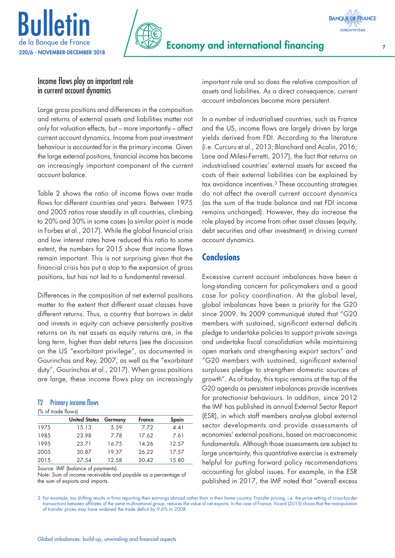



## Income flows play an important role in current account dynamics

Large gross positions and differences in the composition and returns of external assets and liabilities matter not only for valuation effects, but – more importantly – affect current account dynamics. Income from past investment behaviour is accounted for in the primary income. Given the large external positions, financial income has become an increasingly important component of the current account balance.

Table 2 shows the ratio of income flows over trade flows for different countries and years. Between 1975 and 2005 ratios rose steadily in all countries, climbing to 20% and 30% in some cases (a similar point is made in Forbes et al., 2017). While the global financial crisis and low interest rates have reduced this ratio to some extent, the numbers for 2015 show that income flows remain important. This is not surprising given that the financial crisis has put a stop to the expansion of gross positions, but has not led to a fundamental reversal.

Differences in the composition of net external positions matter to the extent that different asset classes have different returns. Thus, a country that borrows in debt and invests in equity can achieve persistently positive returns on its net assets as equity returns are, in the long term, higher than debt returns (see the discussion on the US "exorbitant privilege", as documented in Gourinchas and Rey, 2007, as well as the "exorbitant duty", Gourinchas et al., 2017). When gross positions are large, these income flows play an increasingly

#### T2 Primary income flows

| (% of trade flows) |                      |         |               |       |  |  |  |  |  |  |
|--------------------|----------------------|---------|---------------|-------|--|--|--|--|--|--|
|                    | <b>United States</b> | Germany | <b>France</b> | Spain |  |  |  |  |  |  |
| 1975               | 15.13                | 5.59    | 7.72          | 4.41  |  |  |  |  |  |  |
| 1985               | 23.98                | 7.78    | 17.62         | 7.61  |  |  |  |  |  |  |
| 1995               | 23.71                | 16.75   | 14.26         | 12.57 |  |  |  |  |  |  |
| 2005               | 30.87                | 19.37   | 26.22         | 17.57 |  |  |  |  |  |  |
| 2015               | 27.54                | 12.58   | 20.42         | 15.80 |  |  |  |  |  |  |

Source: IMF (balance of payments).

Note: Sum of income receivable and payable as a percentage of the sum of exports and imports.

important role and so does the relative composition of assets and liabilities. As a direct consequence, current account imbalances become more persistent.

In a number of industrialised countries, such as France and the US, income flows are largely driven by large yields derived from FDI. According to the literature (i.e. Curcuru et al., 2013; Blanchard and Acalin, 2016; Lane and Milesi-Ferretti, 2017), the fact that returns on industrialised countries' external assets far exceed the costs of their external liabilities can be explained by tax avoidance incentives.<sup>3</sup> These accounting strategies do not affect the overall current account dynamics (as the sum of the trade balance and net FDI income remains unchanged). However, they do increase the role played by income from other asset classes (equity, debt securities and other investment) in driving current account dynamics.

# **Conclusions**

Excessive current account imbalances have been a long-standing concern for policymakers and a good case for policy coordination. At the global level, global imbalances have been a priority for the G20 since 2009. Its 2009 communiqué stated that "G20 members with sustained, significant external deficits pledge to undertake policies to support private savings and undertake fiscal consolidation while maintaining open markets and strengthening export sectors" and "G20 members with sustained, significant external surpluses pledge to strengthen domestic sources of growth". As of today, this topic remains at the top of the G20 agenda as persistent imbalances provide incentives for protectionist behaviours. In addition, since 2012 the IMF has published its annual External Sector Report (ESR), in which staff members analyse global external sector developments and provide assessments of economies' external positions, based on macroeconomic fundamentals. Although those assessments are subject to large uncertainty, this quantitative exercise is extremely helpful for putting forward policy recommendations accounting for global issues. For example, in the ESR published in 2017, the IMF noted that "overall excess

3 For example, tax shifting results in firms reporting their earnings abroad rather than in their home country. Transfer pricing, i.e. the price-setting of cross-border transactions between affiliates of the same multinational group, reduces the value of net exports. In the case of France, Vicard (2015) shows that the manipulation of transfer prices may have widened the trade deficit by 9.6% in 2008.

**BANQUE DE FRANCE EUROSYSTÈME**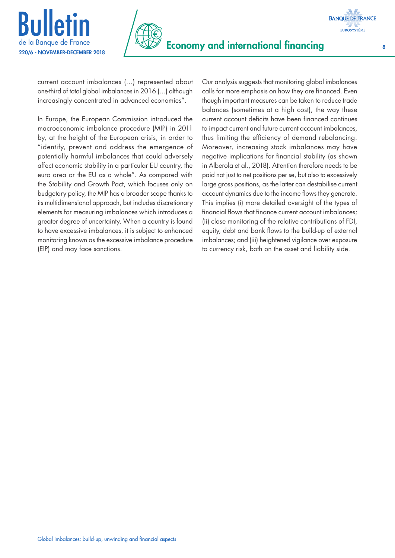



current account imbalances (…) represented about one-third of total global imbalances in 2016 (…) although increasingly concentrated in advanced economies".

In Europe, the European Commission introduced the macroeconomic imbalance procedure (MIP) in 2011 by, at the height of the European crisis, in order to "identify, prevent and address the emergence of potentially harmful imbalances that could adversely affect economic stability in a particular EU country, the euro area or the EU as a whole". As compared with the Stability and Growth Pact, which focuses only on budgetary policy, the MIP has a broader scope thanks to its multidimensional approach, but includes discretionary elements for measuring imbalances which introduces a greater degree of uncertainty. When a country is found to have excessive imbalances, it is subject to enhanced monitoring known as the excessive imbalance procedure (EIP) and may face sanctions.

Our analysis suggests that monitoring global imbalances calls for more emphasis on how they are financed. Even though important measures can be taken to reduce trade balances (sometimes at a high cost), the way these current account deficits have been financed continues to impact current and future current account imbalances, thus limiting the efficiency of demand rebalancing. Moreover, increasing stock imbalances may have negative implications for financial stability (as shown in Alberola et al., 2018). Attention therefore needs to be paid not just to net positions per se, but also to excessively large gross positions, as the latter can destabilise current account dynamics due to the income flows they generate. This implies (i) more detailed oversight of the types of financial flows that finance current account imbalances; (ii) close monitoring of the relative contributions of FDI, equity, debt and bank flows to the build-up of external imbalances; and (iii) heightened vigilance over exposure to currency risk, both on the asset and liability side.



**BANQUE DE FRANCE**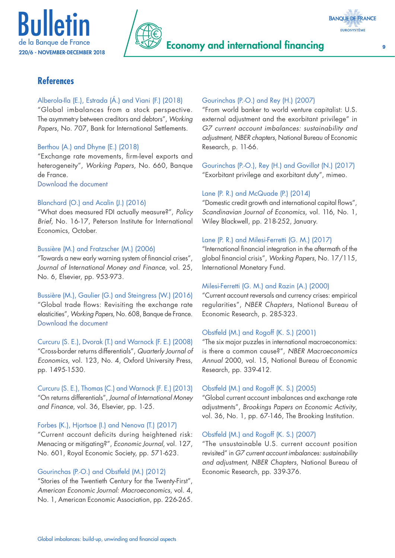





## **References**

#### Alberola-Ila (E.), Estrada (Á.) and Viani (F.) (2018)

"Global imbalances from a stock perspective. The asymmetry between creditors and debtors", *Working Papers*, No. 707, Bank for International Settlements.

## Berthou (A.) and Dhyne (E.) (2018)

"Exchange rate movements, firm-level exports and heterogeneity", *Working Papers*, No. 660, Banque de France.

[Download the document](https://publications.banque-france.fr/en/exchange-rate-movements-firm-level-exports-and-heterogeneity)

#### Blanchard (O.) and Acalin (J.) (2016)

"What does measured FDI actually measure?", *Policy Brief*, No. 16-17, Peterson Institute for International Economics, October.

#### Bussière (M.) and Fratzscher (M.) (2006)

"Towards a new early warning system of financial crises", *Journal of International Money and Finance*, vol. 25, No. 6, Elsevier, pp. 953-973.

Bussière (M.), Gaulier (G.) and Steingress (W.) (2016) "Global trade flows: Revisiting the exchange rate elasticities", *Working Papers*, No. 608, Banque de France. [Download the document](https://publications.banque-france.fr/en/economic-and-financial-publications-working-papers/global-trade-flows-revisiting-exchange-rate-elasticities)

Curcuru (S. E.), Dvorak (T.) and Warnock (F. E.) (2008) "Cross-border returns differentials", *Quarterly Journal of Economics*, vol. 123, No. 4, Oxford University Press, pp. 1495-1530.

Curcuru (S. E.), Thomas (C.) and Warnock (F. E.) (2013) "On returns differentials", *Journal of International Money and Finance*, vol. 36, Elsevier, pp. 1-25.

Forbes (K.), Hjortsoe (I.) and Nenova (T.) (2017) "Current account deficits during heightened risk: Menacing or mitigating?", *Economic Journal*, vol. 127, No. 601, Royal Economic Society, pp. 571-623.

#### Gourinchas (P.-O.) and Obstfeld (M.) (2012)

"Stories of the Twentieth Century for the Twenty-First", *American Economic Journal: Macroeconomics*, vol. 4, No. 1, American Economic Association, pp. 226-265.

#### Gourinchas (P.-O.) and Rey (H.) (2007)

"From world banker to world venture capitalist: U.S. external adjustment and the exorbitant privilege" in *G7 current account imbalances: sustainability and adjustment, NBER chapters*, National Bureau of Economic Research, p. 11-66.

Gourinchas (P.-O.), Rey (H.) and Govillot (N.) (2017) "Exorbitant privilege and exorbitant duty", mimeo.

#### Lane (P. R.) and McQuade (P.) (2014)

"Domestic credit growth and international capital flows", *Scandinavian Journal of Economics*, vol. 116, No. 1, Wiley Blackwell, pp. 218-252, January.

#### Lane (P. R.) and Milesi-Ferretti (G. M.) (2017)

"International financial integration in the aftermath of the global financial crisis", *Working Papers*, No. 17/115, International Monetary Fund.

#### Milesi-Ferretti (G. M.) and Razin (A.) (2000)

"Current account reversals and currency crises: empirical regularities", *NBER Chapters*, National Bureau of Economic Research, p. 285-323.

#### Obstfeld (M.) and Rogoff (K. S.) (2001)

"The six major puzzles in international macroeconomics: is there a common cause?", *NBER Macroeconomics Annual* 2000, vol. 15, National Bureau of Economic Research, pp. 339-412.

## Obstfeld (M.) and Rogoff (K. S.) (2005)

"Global current account imbalances and exchange rate adjustments", *Brookings Papers on Economic Activity*, vol. 36, No. 1, pp. 67-146, The Brooking Institution.

#### Obstfeld (M.) and Rogoff (K. S.) (2007)

"The unsustainable U.S. current account position revisited" in *G7 current account imbalances: sustainability and adjustment, NBER Chapters*, National Bureau of Economic Research, pp. 339-376.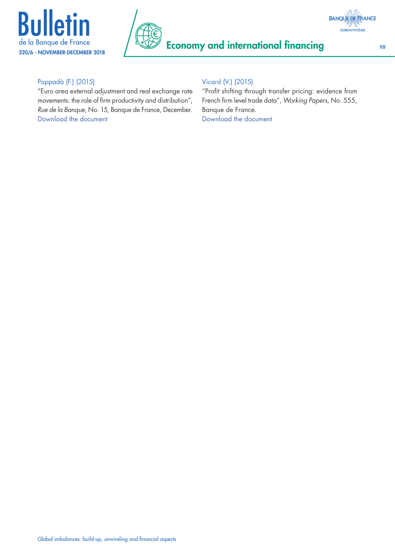





# Pappadà (F.) (2015)

"Euro area external adjustment and real exchange rate movements: the role of firm productivity and distribution", *Rue de la Banque*, No. 15, Banque de France, December. [Download the document](https://publications.banque-france.fr/sites/default/files/medias/documents/rue-de-la-banque_15_2015-12_en.pdf)

## Vicard (V.) (2015)

"Profit shifting through transfer pricing: evidence from French firm level trade data", *Working Papers*, No. 555, Banque de France. [Download the document](https://publications.banque-france.fr/en/economic-and-financial-publications-working-papers/profit-shifting-through-transfer-pricing-evidence-french-firm-level-trade-data)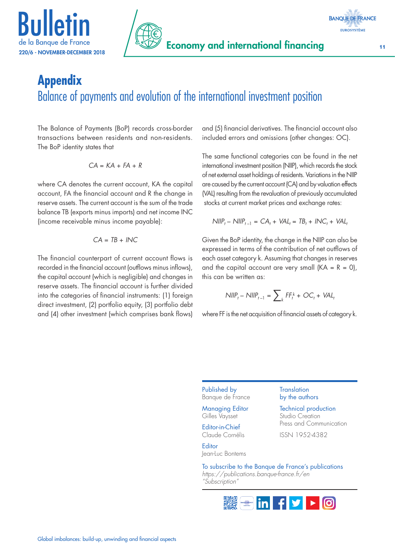





# **Appendix** Balance of payments and evolution of the international investment position

The Balance of Payments (BoP) records cross-border transactions between residents and non-residents. The BoP identity states that

$$
CA = KA + FA + R
$$

where CA denotes the current account, KA the capital account, FA the financial account and R the change in reserve assets. The current account is the sum of the trade balance TB (exports minus imports) and net income INC (income receivable minus income payable):

$$
CA = TB + lNC
$$

The financial counterpart of current account flows is recorded in the financial account (outflows minus inflows), the capital account (which is negligible) and changes in reserve assets. The financial account is further divided into the categories of financial instruments: (1) foreign direct investment, (2) portfolio equity, (3) portfolio debt and (4) other investment (which comprises bank flows) and (5) financial derivatives. The financial account also included errors and omissions (other changes: OC).

The same functional categories can be found in the net international investment position (NIIP), which records the stock of net external asset holdings of residents. Variations in the NIIP are caused by the current account (CA) and by valuation effects (VAL) resulting from the revaluation of previously accumulated stocks at current market prices and exchange rates:

$$
\text{NIIP}_t - \text{NIIIP}_{t-1} = CA_t + \text{VAL}_t = TB_t + \text{INC}_t + \text{VAL}_t
$$

Given the BoP identity, the change in the NIIP can also be expressed in terms of the contribution of net outflows of each asset category k. Assuming that changes in reserves and the capital account are very small  $(KA = R = 0)$ , this can be written as:

$$
NIIP_t - NIIIP_{t-1} = \sum\nolimits_k FF_t^k + OC_t + VAL_t
$$

where FF is the net acquisition of financial assets of category k.

Published by Banque de France

Managing Editor Gilles Vaysset

Editor-in-Chief Claude Cornélis

**Editor** Jean-Luc Bontems

#### **Translation** by the authors

Technical production Studio Creation Press and Communication

ISSN 1952-4382

To subscribe to the Banque de France's publications *<https://publications.banque-france.fr/en> "Subscription"*